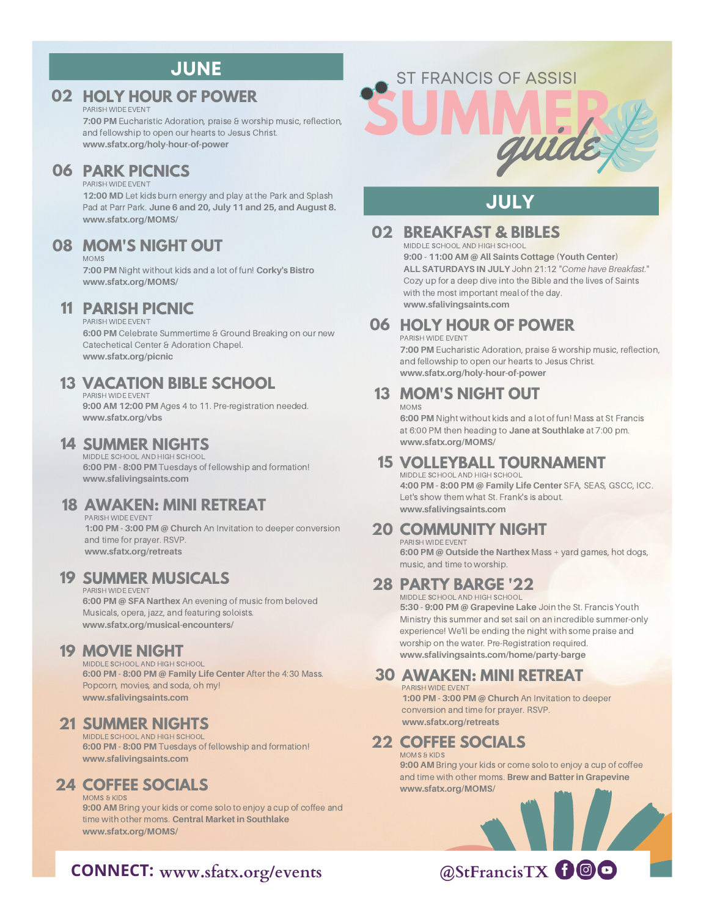### **JUNE**

#### **HOLY HOUR OF POWER 02**

PARISH WIDE EVENT

**7:00 PM** Eucharistic Adoration, praise & worship music, reflection, and fellowship to open our hearts to Jesus Christ. **www.sfatx.org/holy-hour-of-power**

### **PARK PICNICS 06**

PARISH WIDE EVENT

**12:00 MD** Let kids burn energy and play at the Park and Splash Pad at Parr Park. **June 6 and 20, July 11 and 25, and August 8. www.sfatx.org/MOMS/**

### **MOM'S NIGHT OUT 08**

MOMS

**7:00 PM** Night without kids and a lot of fun! **Corky's Bistro www.sfatx.org/MOMS/**

### **PARISH PICNIC 11**

PARISH WIDE EVENT

**6:00 PM** Celebrate Summertime & Ground Breaking on our new Catechetical Center & Adoration Chapel. **www.sfatx.org/picnic**

#### **VACATION BIBLE SCHOOL 13** PARISH WIDE EVENT

**9:00 AM 12:00 PM** Ages 4 to 11. Pre-registration needed. **www.sfatx.org/vbs**

### **SUMMER NIGHTS 14**

MIDDLE SCHOOL AND HIGH SCHOOL **6:00 PM - 8:00 PM** Tuesdays of fellowship and formation! **www.sfalivingsaints.com**

#### **AWAKEN: MINI RETREAT 18** PARISH WIDE EVENT

**1:00 PM -3:00 PM @ Church** An Invitation to deeper conversion and time for prayer. RSVP. **[www.sfatx.org/retreats](http://www.sfatx.org/retreats)**

### **SUMMER MUSICALS 19**

PARISH WIDE EVENT

**6:00 PM @ SFA Narthex** An evening of music from beloved Musicals, opera, jazz, and featuring soloists. **www.sfatx.org/musical-encounters/**

### **MOVIE NIGHT 19**

MIDDLE SCHOOL AND HIGH SCHOOL **6:00 PM -8:00 PM @ Family Life Center** After the 4:30 Mass. Popcorn, movies, and soda, oh my! **www.sfalivingsaints.com**

### **SUMMER NIGHTS 21**

MIDDLE SCHOOL AND HIGH SCHOOL **6:00 PM -8:00 PM** Tuesdays of fellowship and formation! **www.sfalivingsaints.com**

#### **COFFEE SOCIALS 24** MOMS & KIDS

**9:00 AM** Bring your kids or come solo to enjoy a cup of coffee and time with other moms. **Central Market in Southlake www.sfatx.org/MOMS/**

# SUMMER<sup>&</sup> guide **JULY**

### **BREAKFAST & BIBLES 02**

ST FRANCIS OF ASSISI

MIDDLE SCHOOL AND HIGH SCHOOL **9:00 - 11:00 AM @ All Saints Cottage (Youth Center) ALL SATURDAYS IN JULY** John 21:12 "*Come have Breakfast*." Cozy up for a deep dive into the Bible and the lives of Saints with the most important meal of the day. **www.sfalivingsaints.com**

### **HOLY HOUR OF POWER 06**

PARISH WIDE EVENT

**7:00 PM** Eucharistic Adoration, praise & worship music, reflection, and fellowship to open our hearts to Jesus Christ. **www.sfatx.org/holy-hour-of-power**

#### **MOM'S NIGHT OUT 13** MOMS

**6:00 PM** Night without kids and a lot of fun! Mass at St Francis at 6:00 PM then heading to **Jane at Southlake** at 7:00 pm. **www.sfatx.org/MOMS/**

#### **VOLLEYBALL TOURNAMENT 15**MIDDLE SCHOOL AND HIGH SCHOOL

**4:00 PM -8:00 PM @ Family Life Center** SFA, SEAS, GSCC, ICC. Let's show them what St. Frank's is about. **[www.sfalivingsaints.com](http://www.sfalivingsaints.com/)**

#### **COMMUNITY NIGHT 20** PARISH WIDE EVENT

**6:00 PM @ Outside the Narthex** Mass + yard games, hot dogs, music, and time to worship.

#### **PARTY BARGE '22 28** MIDDLE SCHOOL AND HIGH SCHOOL

**5:30 - 9:00 PM @ Grapevine Lake** Join the St. Francis Youth Ministry this summer and set sail on an incredible summer-only experience! We'll be ending the night with some praise and worship on the water. Pre-Registration required. **www.sfalivingsaints.com/home/party-barge**

#### **AWAKEN: MINI RETREAT 30** PARISH WIDE EVENT

**1:00 PM -3:00 PM @ Church** An Invitation to deeper conversion and time for prayer. RSVP. **[www.sfatx.org/retreats](http://www.sfatx.org/retreats)**

#### **COFFEE SOCIALS 22** MOMS & KIDS

**9:00 AM** Bring your kids or come solo to enjoy a cup of coffee and time with other moms. **Brew and Batter in Grapevine www.sfatx.org/MOMS/**

# **CONNECT: www.sfatx.org/events @StFrancisTX**